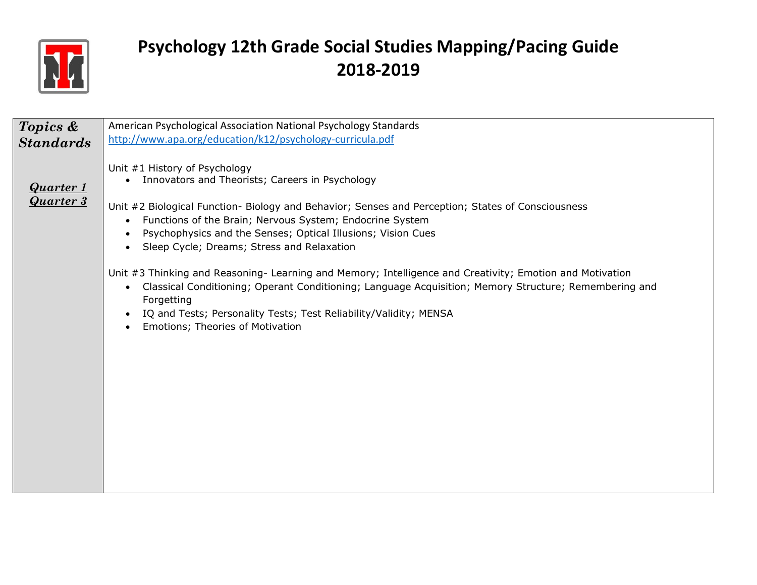

| Topics &         | American Psychological Association National Psychology Standards                                                   |
|------------------|--------------------------------------------------------------------------------------------------------------------|
|                  | http://www.apa.org/education/k12/psychology-curricula.pdf                                                          |
| <b>Standards</b> |                                                                                                                    |
|                  |                                                                                                                    |
|                  | Unit #1 History of Psychology                                                                                      |
|                  | Innovators and Theorists; Careers in Psychology<br>$\bullet$                                                       |
| <b>Quarter 1</b> |                                                                                                                    |
|                  |                                                                                                                    |
| <b>Quarter 3</b> | Unit #2 Biological Function- Biology and Behavior; Senses and Perception; States of Consciousness                  |
|                  | Functions of the Brain; Nervous System; Endocrine System<br>$\bullet$                                              |
|                  |                                                                                                                    |
|                  | Psychophysics and the Senses; Optical Illusions; Vision Cues                                                       |
|                  | Sleep Cycle; Dreams; Stress and Relaxation                                                                         |
|                  |                                                                                                                    |
|                  |                                                                                                                    |
|                  | Unit #3 Thinking and Reasoning- Learning and Memory; Intelligence and Creativity; Emotion and Motivation           |
|                  | Classical Conditioning; Operant Conditioning; Language Acquisition; Memory Structure; Remembering and<br>$\bullet$ |
|                  | Forgetting                                                                                                         |
|                  |                                                                                                                    |
|                  | IQ and Tests; Personality Tests; Test Reliability/Validity; MENSA                                                  |
|                  | Emotions; Theories of Motivation                                                                                   |
|                  |                                                                                                                    |
|                  |                                                                                                                    |
|                  |                                                                                                                    |
|                  |                                                                                                                    |
|                  |                                                                                                                    |
|                  |                                                                                                                    |
|                  |                                                                                                                    |
|                  |                                                                                                                    |
|                  |                                                                                                                    |
|                  |                                                                                                                    |
|                  |                                                                                                                    |
|                  |                                                                                                                    |
|                  |                                                                                                                    |
|                  |                                                                                                                    |
|                  |                                                                                                                    |
|                  |                                                                                                                    |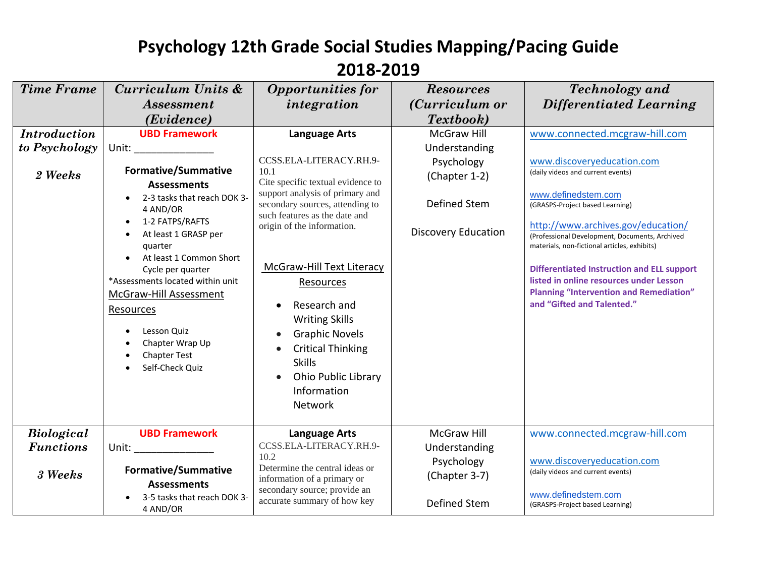| <b>Time Frame</b>   | Curriculum Units &<br><i><b>Assessment</b></i>                                                                                                                                                                                                                                                                             | <b>Opportunities for</b><br>integration                                                                                                                                                                                                                                                                                                              | <b>Resources</b><br>( <i>Curriculum or</i> | <b>Technology</b> and<br><b>Differentiated Learning</b>                                                                                                                                                                                                                                                                                                                        |
|---------------------|----------------------------------------------------------------------------------------------------------------------------------------------------------------------------------------------------------------------------------------------------------------------------------------------------------------------------|------------------------------------------------------------------------------------------------------------------------------------------------------------------------------------------------------------------------------------------------------------------------------------------------------------------------------------------------------|--------------------------------------------|--------------------------------------------------------------------------------------------------------------------------------------------------------------------------------------------------------------------------------------------------------------------------------------------------------------------------------------------------------------------------------|
|                     | (Evidence)                                                                                                                                                                                                                                                                                                                 |                                                                                                                                                                                                                                                                                                                                                      | Textbook)                                  |                                                                                                                                                                                                                                                                                                                                                                                |
| <b>Introduction</b> | <b>UBD Framework</b>                                                                                                                                                                                                                                                                                                       | <b>Language Arts</b>                                                                                                                                                                                                                                                                                                                                 | <b>McGraw Hill</b>                         | www.connected.mcgraw-hill.com                                                                                                                                                                                                                                                                                                                                                  |
| to Psychology       | Unit: _________________                                                                                                                                                                                                                                                                                                    |                                                                                                                                                                                                                                                                                                                                                      | Understanding                              |                                                                                                                                                                                                                                                                                                                                                                                |
|                     |                                                                                                                                                                                                                                                                                                                            | CCSS.ELA-LITERACY.RH.9-                                                                                                                                                                                                                                                                                                                              | Psychology                                 | www.discoveryeducation.com                                                                                                                                                                                                                                                                                                                                                     |
| 2 Weeks             | <b>Formative/Summative</b>                                                                                                                                                                                                                                                                                                 | 10.1<br>Cite specific textual evidence to                                                                                                                                                                                                                                                                                                            | (Chapter 1-2)                              | (daily videos and current events)                                                                                                                                                                                                                                                                                                                                              |
|                     | <b>Assessments</b><br>2-3 tasks that reach DOK 3-<br>4 AND/OR<br>1-2 FATPS/RAFTS<br>At least 1 GRASP per<br>quarter<br>At least 1 Common Short<br>Cycle per quarter<br>*Assessments located within unit<br>McGraw-Hill Assessment<br>Resources<br>Lesson Quiz<br>Chapter Wrap Up<br><b>Chapter Test</b><br>Self-Check Quiz | support analysis of primary and<br>secondary sources, attending to<br>such features as the date and<br>origin of the information.<br>McGraw-Hill Text Literacy<br>Resources<br>Research and<br>$\bullet$<br><b>Writing Skills</b><br><b>Graphic Novels</b><br><b>Critical Thinking</b><br><b>Skills</b><br><b>Ohio Public Library</b><br>Information | Defined Stem<br><b>Discovery Education</b> | www.definedstem.com<br>(GRASPS-Project based Learning)<br>http://www.archives.gov/education/<br>(Professional Development, Documents, Archived<br>materials, non-fictional articles, exhibits)<br><b>Differentiated Instruction and ELL support</b><br>listed in online resources under Lesson<br><b>Planning "Intervention and Remediation"</b><br>and "Gifted and Talented." |
|                     |                                                                                                                                                                                                                                                                                                                            | Network                                                                                                                                                                                                                                                                                                                                              |                                            |                                                                                                                                                                                                                                                                                                                                                                                |
| <b>Biological</b>   | <b>UBD Framework</b>                                                                                                                                                                                                                                                                                                       | <b>Language Arts</b>                                                                                                                                                                                                                                                                                                                                 | McGraw Hill                                | www.connected.mcgraw-hill.com                                                                                                                                                                                                                                                                                                                                                  |
| <b>Functions</b>    | Unit: the contract of the contract of the contract of the contract of the contract of the contract of the contract of the contract of the contract of the contract of the contract of the contract of the contract of the cont                                                                                             | CCSS.ELA-LITERACY.RH.9-<br>10.2                                                                                                                                                                                                                                                                                                                      | Understanding                              |                                                                                                                                                                                                                                                                                                                                                                                |
| 3 Weeks             | <b>Formative/Summative</b><br><b>Assessments</b>                                                                                                                                                                                                                                                                           | Determine the central ideas or<br>information of a primary or<br>secondary source; provide an                                                                                                                                                                                                                                                        | Psychology<br>(Chapter 3-7)                | www.discoveryeducation.com<br>(daily videos and current events)                                                                                                                                                                                                                                                                                                                |
|                     | 3-5 tasks that reach DOK 3-<br>4 AND/OR                                                                                                                                                                                                                                                                                    | accurate summary of how key                                                                                                                                                                                                                                                                                                                          | Defined Stem                               | www.definedstem.com<br>(GRASPS-Project based Learning)                                                                                                                                                                                                                                                                                                                         |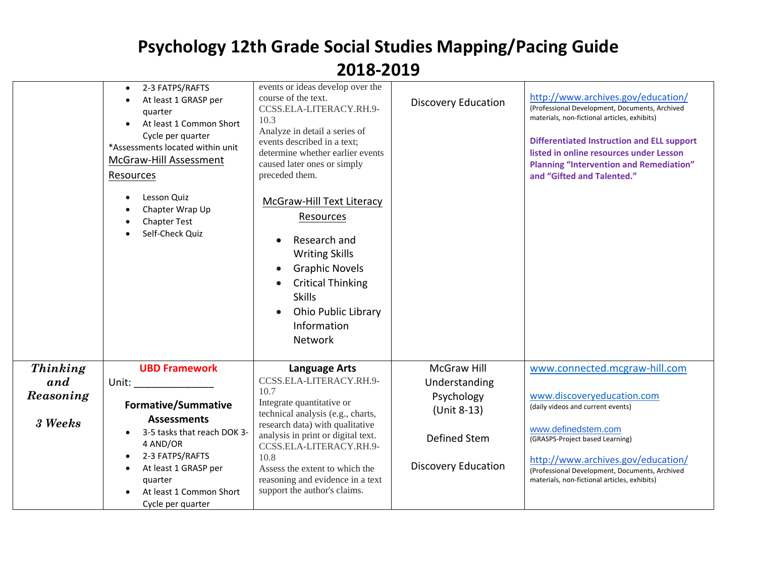| <b>Thinking</b><br>McGraw Hill<br>www.connected.mcgraw-hill.com<br><b>UBD Framework</b><br><b>Language Arts</b><br>CCSS.ELA-LITERACY.RH.9-<br>and<br>Unit: the contract of the contract of the contract of the contract of the contract of the contract of the contract of the contract of the contract of the contract of the contract of the contract of the contract of the cont<br>Understanding<br>10.7<br>Reasoning<br>www.discoveryeducation.com<br>Psychology<br>Integrate quantitative or<br><b>Formative/Summative</b><br>(daily videos and current events)<br>(Unit 8-13)<br>technical analysis (e.g., charts,<br><b>Assessments</b><br>3 Weeks<br>research data) with qualitative<br>www.definedstem.com<br>3-5 tasks that reach DOK 3-<br>$\bullet$<br>analysis in print or digital text.<br>Defined Stem<br>(GRASPS-Project based Learning)<br>4 AND/OR<br>CCSS.ELA-LITERACY.RH.9-<br>2-3 FATPS/RAFTS<br>10.8<br>http://www.archives.gov/education/<br><b>Discovery Education</b><br>At least 1 GRASP per<br>Assess the extent to which the<br>(Professional Development, Documents, Archived<br>reasoning and evidence in a text<br>quarter<br>materials, non-fictional articles, exhibits) | 2-3 FATPS/RAFTS<br>At least 1 GRASP per<br>quarter<br>At least 1 Common Short<br>Cycle per quarter<br>*Assessments located within unit<br>McGraw-Hill Assessment<br>Resources<br>Lesson Quiz<br>Chapter Wrap Up<br><b>Chapter Test</b><br>Self-Check Quiz | events or ideas develop over the<br>course of the text.<br>CCSS.ELA-LITERACY.RH.9-<br>10.3<br>Analyze in detail a series of<br>events described in a text;<br>determine whether earlier events<br>caused later ones or simply<br>preceded them.<br><b>McGraw-Hill Text Literacy</b><br>Resources<br>Research and<br><b>Writing Skills</b><br><b>Graphic Novels</b><br>$\bullet$<br><b>Critical Thinking</b><br>$\bullet$<br><b>Skills</b><br><b>Ohio Public Library</b><br>$\bullet$<br>Information<br>Network | <b>Discovery Education</b> | http://www.archives.gov/education/<br>(Professional Development, Documents, Archived<br>materials, non-fictional articles, exhibits)<br><b>Differentiated Instruction and ELL support</b><br>listed in online resources under Lesson<br><b>Planning "Intervention and Remediation"</b><br>and "Gifted and Talented." |
|------------------------------------------------------------------------------------------------------------------------------------------------------------------------------------------------------------------------------------------------------------------------------------------------------------------------------------------------------------------------------------------------------------------------------------------------------------------------------------------------------------------------------------------------------------------------------------------------------------------------------------------------------------------------------------------------------------------------------------------------------------------------------------------------------------------------------------------------------------------------------------------------------------------------------------------------------------------------------------------------------------------------------------------------------------------------------------------------------------------------------------------------------------------------------------------------------------|-----------------------------------------------------------------------------------------------------------------------------------------------------------------------------------------------------------------------------------------------------------|----------------------------------------------------------------------------------------------------------------------------------------------------------------------------------------------------------------------------------------------------------------------------------------------------------------------------------------------------------------------------------------------------------------------------------------------------------------------------------------------------------------|----------------------------|----------------------------------------------------------------------------------------------------------------------------------------------------------------------------------------------------------------------------------------------------------------------------------------------------------------------|
|                                                                                                                                                                                                                                                                                                                                                                                                                                                                                                                                                                                                                                                                                                                                                                                                                                                                                                                                                                                                                                                                                                                                                                                                            |                                                                                                                                                                                                                                                           |                                                                                                                                                                                                                                                                                                                                                                                                                                                                                                                |                            |                                                                                                                                                                                                                                                                                                                      |
|                                                                                                                                                                                                                                                                                                                                                                                                                                                                                                                                                                                                                                                                                                                                                                                                                                                                                                                                                                                                                                                                                                                                                                                                            |                                                                                                                                                                                                                                                           |                                                                                                                                                                                                                                                                                                                                                                                                                                                                                                                |                            |                                                                                                                                                                                                                                                                                                                      |
|                                                                                                                                                                                                                                                                                                                                                                                                                                                                                                                                                                                                                                                                                                                                                                                                                                                                                                                                                                                                                                                                                                                                                                                                            |                                                                                                                                                                                                                                                           |                                                                                                                                                                                                                                                                                                                                                                                                                                                                                                                |                            |                                                                                                                                                                                                                                                                                                                      |
|                                                                                                                                                                                                                                                                                                                                                                                                                                                                                                                                                                                                                                                                                                                                                                                                                                                                                                                                                                                                                                                                                                                                                                                                            |                                                                                                                                                                                                                                                           |                                                                                                                                                                                                                                                                                                                                                                                                                                                                                                                |                            |                                                                                                                                                                                                                                                                                                                      |
|                                                                                                                                                                                                                                                                                                                                                                                                                                                                                                                                                                                                                                                                                                                                                                                                                                                                                                                                                                                                                                                                                                                                                                                                            |                                                                                                                                                                                                                                                           |                                                                                                                                                                                                                                                                                                                                                                                                                                                                                                                |                            |                                                                                                                                                                                                                                                                                                                      |
|                                                                                                                                                                                                                                                                                                                                                                                                                                                                                                                                                                                                                                                                                                                                                                                                                                                                                                                                                                                                                                                                                                                                                                                                            |                                                                                                                                                                                                                                                           |                                                                                                                                                                                                                                                                                                                                                                                                                                                                                                                |                            |                                                                                                                                                                                                                                                                                                                      |
| At least 1 Common Short<br>Cycle per quarter                                                                                                                                                                                                                                                                                                                                                                                                                                                                                                                                                                                                                                                                                                                                                                                                                                                                                                                                                                                                                                                                                                                                                               |                                                                                                                                                                                                                                                           | support the author's claims.                                                                                                                                                                                                                                                                                                                                                                                                                                                                                   |                            |                                                                                                                                                                                                                                                                                                                      |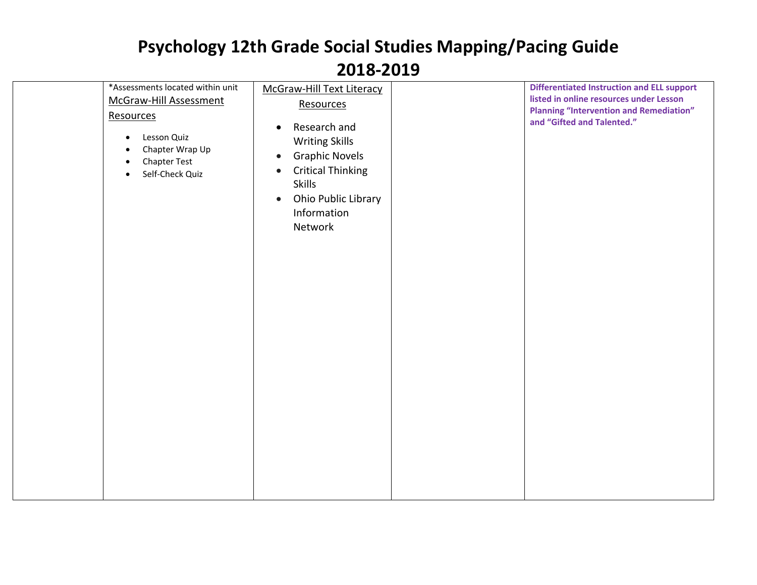| *Assessments located within unit<br>McGraw-Hill Assessment<br>Resources<br>Lesson Quiz<br>Chapter Wrap Up<br>$\bullet$<br><b>Chapter Test</b><br>$\bullet$<br>Self-Check Quiz<br>$\bullet$ | McGraw-Hill Text Literacy<br>Resources<br>Research and<br>$\bullet$<br><b>Writing Skills</b><br><b>Graphic Novels</b><br>$\bullet$<br><b>Critical Thinking</b><br>$\bullet$<br><b>Skills</b><br>Ohio Public Library<br>$\bullet$<br>Information<br>Network | <b>Differentiated Instruction and ELL support</b><br>listed in online resources under Lesson<br><b>Planning "Intervention and Remediation"</b><br>and "Gifted and Talented." |
|--------------------------------------------------------------------------------------------------------------------------------------------------------------------------------------------|------------------------------------------------------------------------------------------------------------------------------------------------------------------------------------------------------------------------------------------------------------|------------------------------------------------------------------------------------------------------------------------------------------------------------------------------|
|                                                                                                                                                                                            |                                                                                                                                                                                                                                                            |                                                                                                                                                                              |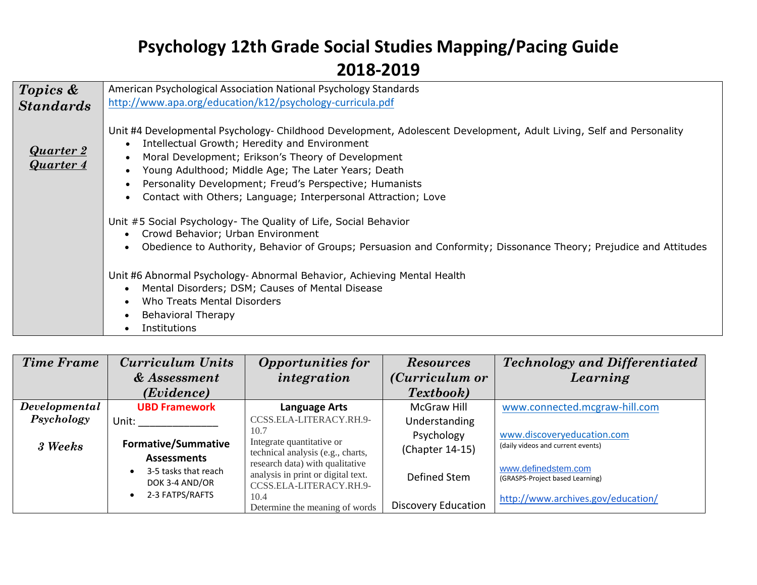| Topics &                             | American Psychological Association National Psychology Standards                                                                                                                                                                                                                                                                                                                                              |  |  |  |  |
|--------------------------------------|---------------------------------------------------------------------------------------------------------------------------------------------------------------------------------------------------------------------------------------------------------------------------------------------------------------------------------------------------------------------------------------------------------------|--|--|--|--|
| <b>Standards</b>                     | http://www.apa.org/education/k12/psychology-curricula.pdf                                                                                                                                                                                                                                                                                                                                                     |  |  |  |  |
| <b>Quarter 2</b><br><b>Quarter 4</b> | Unit #4 Developmental Psychology- Childhood Development, Adolescent Development, Adult Living, Self and Personality<br>Intellectual Growth; Heredity and Environment<br>Moral Development; Erikson's Theory of Development<br>Young Adulthood; Middle Age; The Later Years; Death<br>Personality Development; Freud's Perspective; Humanists<br>Contact with Others; Language; Interpersonal Attraction; Love |  |  |  |  |
|                                      | Unit #5 Social Psychology- The Quality of Life, Social Behavior<br>Crowd Behavior; Urban Environment<br>Obedience to Authority, Behavior of Groups; Persuasion and Conformity; Dissonance Theory; Prejudice and Attitudes                                                                                                                                                                                     |  |  |  |  |
|                                      | Unit #6 Abnormal Psychology- Abnormal Behavior, Achieving Mental Health<br>Mental Disorders; DSM; Causes of Mental Disease<br>Who Treats Mental Disorders<br><b>Behavioral Therapy</b><br>Institutions                                                                                                                                                                                                        |  |  |  |  |

| <b>Time Frame</b> | <b>Curriculum Units</b><br>& Assessment                                         | <b>Opportunities for</b><br>integration                                                                  | <b>Resources</b><br>( <i>Curriculum or</i> | <b>Technology and Differentiated</b><br>Learning                                             |
|-------------------|---------------------------------------------------------------------------------|----------------------------------------------------------------------------------------------------------|--------------------------------------------|----------------------------------------------------------------------------------------------|
|                   | ( <i>Evidence</i> )                                                             |                                                                                                          | Textbook)                                  |                                                                                              |
| Developmental     | <b>UBD Framework</b>                                                            | <b>Language Arts</b>                                                                                     | <b>McGraw Hill</b>                         | www.connected.mcgraw-hill.com                                                                |
| Psychology        | Unit:                                                                           | CCSS.ELA-LITERACY.RH.9-<br>10.7<br>Integrate quantitative or                                             | Understanding<br>Psychology                | www.discoveryeducation.com                                                                   |
| 3 Weeks           | <b>Formative/Summative</b>                                                      | technical analysis (e.g., charts,                                                                        | (Chapter 14-15)                            | (daily videos and current events)                                                            |
|                   | <b>Assessments</b><br>3-5 tasks that reach<br>DOK 3-4 AND/OR<br>2-3 FATPS/RAFTS | research data) with qualitative<br>analysis in print or digital text.<br>CCSS.ELA-LITERACY.RH.9-<br>10.4 | Defined Stem                               | www.definedstem.com<br>(GRASPS-Project based Learning)<br>http://www.archives.gov/education/ |
|                   |                                                                                 | Determine the meaning of words                                                                           | <b>Discovery Education</b>                 |                                                                                              |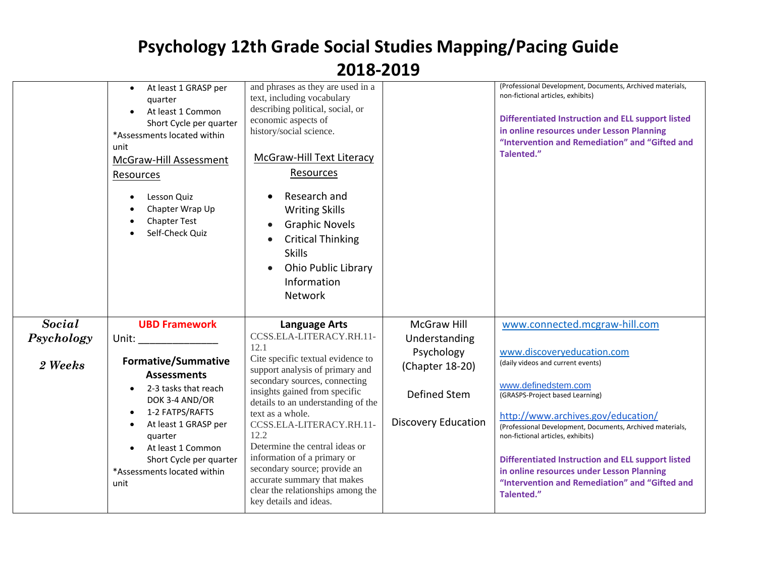|            | At least 1 GRASP per<br>$\bullet$<br>quarter<br>At least 1 Common<br>Short Cycle per quarter<br>*Assessments located within<br>unit<br>McGraw-Hill Assessment<br>Resources<br>Lesson Quiz<br>Chapter Wrap Up<br><b>Chapter Test</b><br>Self-Check Quiz | and phrases as they are used in a<br>text, including vocabulary<br>describing political, social, or<br>economic aspects of<br>history/social science.<br>McGraw-Hill Text Literacy<br>Resources<br>Research and<br><b>Writing Skills</b><br><b>Graphic Novels</b><br><b>Critical Thinking</b><br><b>Skills</b><br><b>Ohio Public Library</b><br>Information<br>Network |                               | (Professional Development, Documents, Archived materials,<br>non-fictional articles, exhibits)<br><b>Differentiated Instruction and ELL support listed</b><br>in online resources under Lesson Planning<br>"Intervention and Remediation" and "Gifted and<br>Talented." |
|------------|--------------------------------------------------------------------------------------------------------------------------------------------------------------------------------------------------------------------------------------------------------|------------------------------------------------------------------------------------------------------------------------------------------------------------------------------------------------------------------------------------------------------------------------------------------------------------------------------------------------------------------------|-------------------------------|-------------------------------------------------------------------------------------------------------------------------------------------------------------------------------------------------------------------------------------------------------------------------|
| Social     | <b>UBD Framework</b>                                                                                                                                                                                                                                   | <b>Language Arts</b>                                                                                                                                                                                                                                                                                                                                                   | <b>McGraw Hill</b>            | www.connected.mcgraw-hill.com                                                                                                                                                                                                                                           |
| Psychology | Unit: and the state of the state of the state of the state of the state of the state of the state of the state                                                                                                                                         | CCSS.ELA-LITERACY.RH.11-<br>12.1                                                                                                                                                                                                                                                                                                                                       | Understanding                 |                                                                                                                                                                                                                                                                         |
| 2 Weeks    | <b>Formative/Summative</b><br><b>Assessments</b>                                                                                                                                                                                                       | Cite specific textual evidence to<br>support analysis of primary and                                                                                                                                                                                                                                                                                                   | Psychology<br>(Chapter 18-20) | www.discoveryeducation.com<br>(daily videos and current events)                                                                                                                                                                                                         |
|            | 2-3 tasks that reach<br>DOK 3-4 AND/OR                                                                                                                                                                                                                 | secondary sources, connecting<br>insights gained from specific<br>details to an understanding of the                                                                                                                                                                                                                                                                   | Defined Stem                  | www.definedstem.com<br>(GRASPS-Project based Learning)                                                                                                                                                                                                                  |
|            | 1-2 FATPS/RAFTS<br>At least 1 GRASP per<br>quarter                                                                                                                                                                                                     | text as a whole.<br>CCSS.ELA-LITERACY.RH.11-<br>12.2                                                                                                                                                                                                                                                                                                                   | <b>Discovery Education</b>    | http://www.archives.gov/education/<br>(Professional Development, Documents, Archived materials,<br>non-fictional articles, exhibits)                                                                                                                                    |
|            | At least 1 Common<br>Short Cycle per quarter<br>*Assessments located within<br>unit                                                                                                                                                                    | Determine the central ideas or<br>information of a primary or<br>secondary source; provide an<br>accurate summary that makes<br>clear the relationships among the<br>key details and ideas.                                                                                                                                                                            |                               | <b>Differentiated Instruction and ELL support listed</b><br>in online resources under Lesson Planning<br>"Intervention and Remediation" and "Gifted and<br>Talented."                                                                                                   |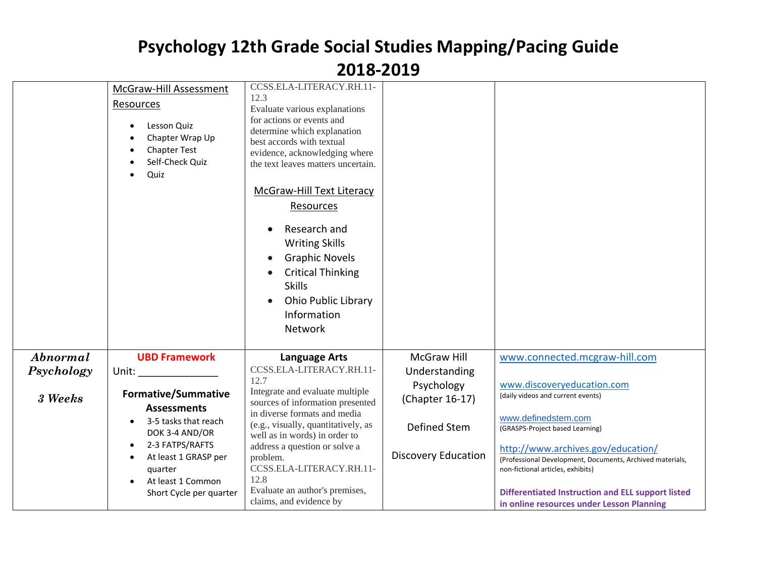|            |                                   | CCSS.ELA-LITERACY.RH.11-                                         |                            |                                                           |
|------------|-----------------------------------|------------------------------------------------------------------|----------------------------|-----------------------------------------------------------|
|            | McGraw-Hill Assessment            | 12.3                                                             |                            |                                                           |
|            | Resources                         | Evaluate various explanations                                    |                            |                                                           |
|            | Lesson Quiz                       | for actions or events and                                        |                            |                                                           |
|            |                                   | determine which explanation                                      |                            |                                                           |
|            | Chapter Wrap Up                   | best accords with textual                                        |                            |                                                           |
|            | <b>Chapter Test</b>               | evidence, acknowledging where                                    |                            |                                                           |
|            | Self-Check Quiz                   | the text leaves matters uncertain.                               |                            |                                                           |
|            | Quiz                              |                                                                  |                            |                                                           |
|            |                                   | McGraw-Hill Text Literacy                                        |                            |                                                           |
|            |                                   | Resources                                                        |                            |                                                           |
|            |                                   |                                                                  |                            |                                                           |
|            |                                   | Research and<br>$\bullet$                                        |                            |                                                           |
|            |                                   | <b>Writing Skills</b>                                            |                            |                                                           |
|            |                                   | <b>Graphic Novels</b><br>$\bullet$                               |                            |                                                           |
|            |                                   |                                                                  |                            |                                                           |
|            |                                   | <b>Critical Thinking</b>                                         |                            |                                                           |
|            |                                   | <b>Skills</b>                                                    |                            |                                                           |
|            |                                   | <b>Ohio Public Library</b><br>$\bullet$                          |                            |                                                           |
|            |                                   | Information                                                      |                            |                                                           |
|            |                                   | Network                                                          |                            |                                                           |
|            |                                   |                                                                  |                            |                                                           |
| Abnormal   | <b>UBD Framework</b>              | <b>Language Arts</b>                                             | <b>McGraw Hill</b>         | www.connected.mcgraw-hill.com                             |
| Psychology | Unit:                             | CCSS.ELA-LITERACY.RH.11-                                         | Understanding              |                                                           |
|            |                                   | 12.7                                                             | Psychology                 | www.discoveryeducation.com                                |
| 3 Weeks    | <b>Formative/Summative</b>        | Integrate and evaluate multiple                                  | (Chapter 16-17)            | (daily videos and current events)                         |
|            | <b>Assessments</b>                | sources of information presented<br>in diverse formats and media |                            |                                                           |
|            | 3-5 tasks that reach<br>$\bullet$ | (e.g., visually, quantitatively, as                              |                            | www.definedstem.com                                       |
|            | DOK 3-4 AND/OR                    | well as in words) in order to                                    | Defined Stem               | (GRASPS-Project based Learning)                           |
|            | 2-3 FATPS/RAFTS<br>$\bullet$      | address a question or solve a                                    |                            | http://www.archives.gov/education/                        |
|            | At least 1 GRASP per<br>$\bullet$ | problem.                                                         | <b>Discovery Education</b> | (Professional Development, Documents, Archived materials, |
|            | quarter                           | CCSS.ELA-LITERACY.RH.11-                                         |                            | non-fictional articles, exhibits)                         |
|            | At least 1 Common<br>$\bullet$    | 12.8                                                             |                            |                                                           |
|            | Short Cycle per quarter           | Evaluate an author's premises,                                   |                            | <b>Differentiated Instruction and ELL support listed</b>  |
|            |                                   | claims, and evidence by                                          |                            | in online resources under Lesson Planning                 |